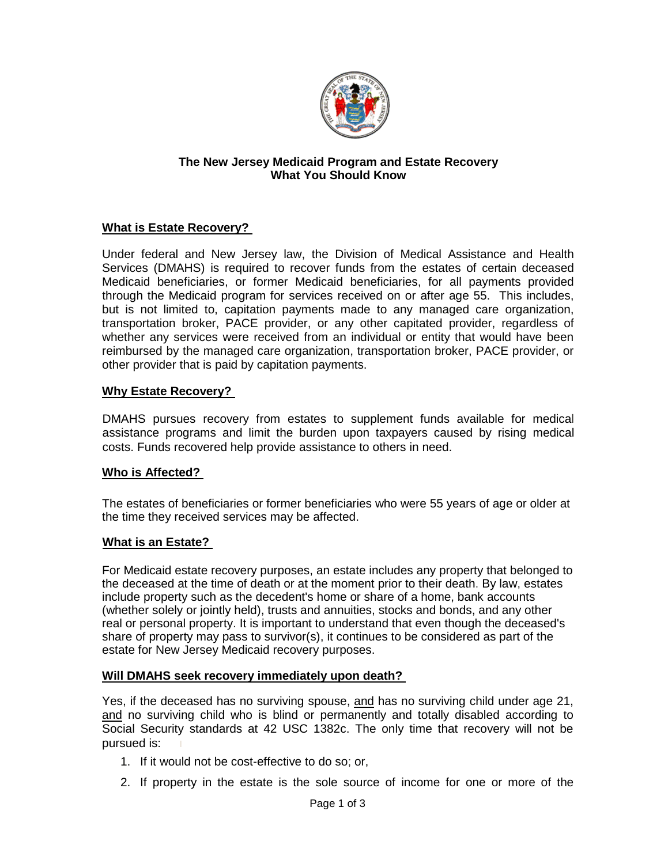

#### **The New Jersey Medicaid Program and Estate Recovery What You Should Know**

# **What is Estate Recovery?**

Under federal and New Jersey law, the Division of Medical Assistance and Health Services (DMAHS) is required to recover funds from the estates of certain deceased Medicaid beneficiaries, or former Medicaid beneficiaries, for all payments provided through the Medicaid program for services received on or after age 55. This includes, but is not limited to, capitation payments made to any managed care organization, transportation broker, PACE provider, or any other capitated provider, regardless of whether any services were received from an individual or entity that would have been reimbursed by the managed care organization, transportation broker, PACE provider, or other provider that is paid by capitation payments.

## **Why Estate Recovery?**

DMAHS pursues recovery from estates to supplement funds available for medical assistance programs and limit the burden upon taxpayers caused by rising medical costs. Funds recovered help provide assistance to others in need.

## **Who is Affected?**

The estates of beneficiaries or former beneficiaries who were 55 years of age or older at the time they received services may be affected.

## **What is an Estate?**

For Medicaid estate recovery purposes, an estate includes any property that belonged to the deceased at the time of death or at the moment prior to their death. By law, estates include property such as the decedent's home or share of a home, bank accounts (whether solely or jointly held), trusts and annuities, stocks and bonds, and any other real or personal property. It is important to understand that even though the deceased's share of property may pass to survivor(s), it continues to be considered as part of the estate for New Jersey Medicaid recovery purposes.

#### **Will DMAHS seek recovery immediately upon death?**

Yes, if the deceased has no surviving spouse, and has no surviving child under age 21, and no surviving child who is blind or permanently and totally disabled according to Social Security standards at 42 USC 1382c. The only time that recovery will not be pursued is:

- 1. If it would not be cost-effective to do so; or,
- 2. If property in the estate is the sole source of income for one or more of the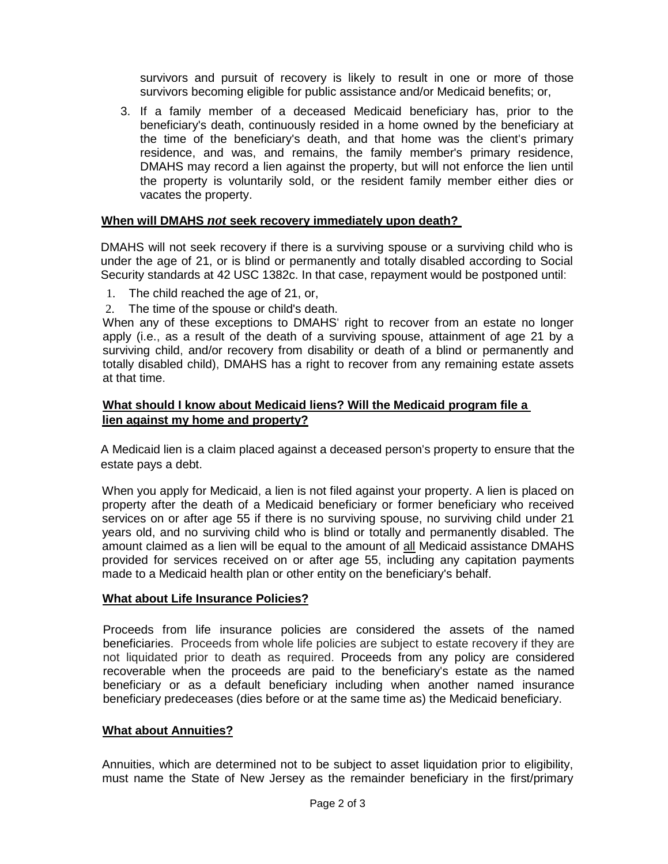survivors and pursuit of recovery is likely to result in one or more of those survivors becoming eligible for public assistance and/or Medicaid benefits; or,

3. If a family member of a deceased Medicaid beneficiary has, prior to the beneficiary's death, continuously resided in a home owned by the beneficiary at the time of the beneficiary's death, and that home was the client's primary residence, and was, and remains, the family member's primary residence, DMAHS may record a lien against the property, but will not enforce the lien until the property is voluntarily sold, or the resident family member either dies or vacates the property.

# **When will DMAHS** *not* **seek recovery immediately upon death?**

DMAHS will not seek recovery if there is a surviving spouse or a surviving child who is under the age of 21, or is blind or permanently and totally disabled according to Social Security standards at 42 USC 1382c. In that case, repayment would be postponed until:

- 1. The child reached the age of 21, or,
- 2. The time of the spouse or child's death.

When any of these exceptions to DMAHS' right to recover from an estate no longer apply (i.e., as a result of the death of a surviving spouse, attainment of age 21 by a surviving child, and/or recovery from disability or death of a blind or permanently and totally disabled child), DMAHS has a right to recover from any remaining estate assets at that time.

## **What should I know about Medicaid liens? Will the Medicaid program file a lien against my home and property?**

A Medicaid lien is a claim placed against a deceased person's property to ensure that the estate pays a debt.

When you apply for Medicaid, a lien is not filed against your property. A lien is placed on property after the death of a Medicaid beneficiary or former beneficiary who received services on or after age 55 if there is no surviving spouse, no surviving child under 21 years old, and no surviving child who is blind or totally and permanently disabled. The amount claimed as a lien will be equal to the amount of all Medicaid assistance DMAHS provided for services received on or after age 55, including any capitation payments made to a Medicaid health plan or other entity on the beneficiary's behalf.

## **What about Life Insurance Policies?**

Proceeds from life insurance policies are considered the assets of the named beneficiaries. Proceeds from whole life policies are subject to estate recovery if they are not liquidated prior to death as required. Proceeds from any policy are considered recoverable when the proceeds are paid to the beneficiary's estate as the named beneficiary or as a default beneficiary including when another named insurance beneficiary predeceases (dies before or at the same time as) the Medicaid beneficiary.

## **What about Annuities?**

Annuities, which are determined not to be subject to asset liquidation prior to eligibility, must name the State of New Jersey as the remainder beneficiary in the first/primary